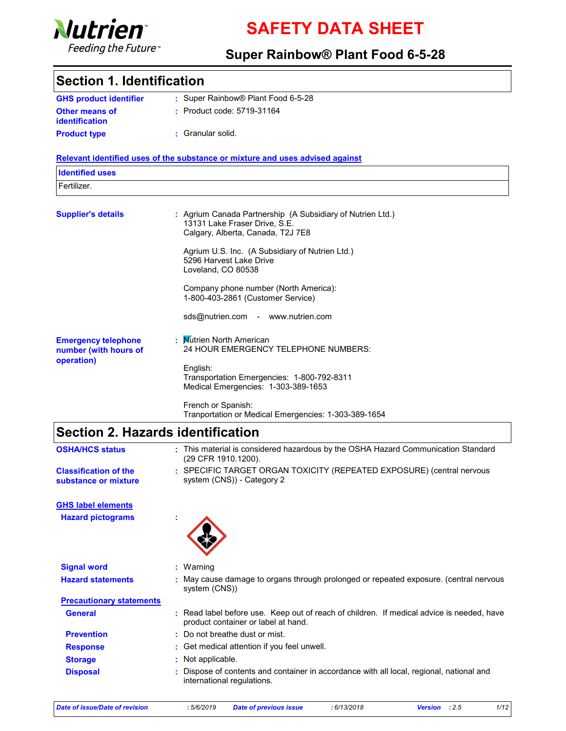

# SAFETY DATA SHEET

### Super Rainbow® Plant Food 6-5-28

### Section 1. Identification

| <b>GHS product identifier</b> | : Super Rainbow® Plant Food 6-5-28 |
|-------------------------------|------------------------------------|
| <b>Other means of</b>         | : Product code: 5719-31164         |
| <i>identification</i>         |                                    |
| <b>Product type</b>           | : Granular solid.                  |

#### Relevant identified uses of the substance or mixture and uses advised against

| <b>Identified uses</b>                                            |                                                                                                                                  |
|-------------------------------------------------------------------|----------------------------------------------------------------------------------------------------------------------------------|
| Fertilizer.                                                       |                                                                                                                                  |
| <b>Supplier's details</b>                                         | : Agrium Canada Partnership (A Subsidiary of Nutrien Ltd.)<br>13131 Lake Fraser Drive, S.E.<br>Calgary, Alberta, Canada, T2J 7E8 |
|                                                                   | Agrium U.S. Inc. (A Subsidiary of Nutrien Ltd.)<br>5296 Harvest Lake Drive<br>Loveland, CO 80538                                 |
|                                                                   | Company phone number (North America):<br>1-800-403-2861 (Customer Service)                                                       |
|                                                                   | sds@nutrien.com - www.nutrien.com                                                                                                |
| <b>Emergency telephone</b><br>number (with hours of<br>operation) | : Mutrien North American<br>24 HOUR EMERGENCY TELEPHONE NUMBERS:                                                                 |
|                                                                   | English:<br>Transportation Emergencies: 1-800-792-8311<br>Medical Emergencies: 1-303-389-1653                                    |
|                                                                   | French or Spanish:<br>Tranportation or Medical Emergencies: 1-303-389-1654                                                       |

# Section 2. Hazards identification

| <b>OSHA/HCS status</b>                               | : This material is considered hazardous by the OSHA Hazard Communication Standard<br>(29 CFR 1910.1200).                         |
|------------------------------------------------------|----------------------------------------------------------------------------------------------------------------------------------|
| <b>Classification of the</b><br>substance or mixture | : SPECIFIC TARGET ORGAN TOXICITY (REPEATED EXPOSURE) (central nervous<br>system (CNS)) - Category 2                              |
| <b>GHS label elements</b>                            |                                                                                                                                  |
| <b>Hazard pictograms</b>                             |                                                                                                                                  |
| <b>Signal word</b>                                   | $:$ Warning                                                                                                                      |
| <b>Hazard statements</b>                             | : May cause damage to organs through prolonged or repeated exposure. (central nervous<br>system (CNS))                           |
| <b>Precautionary statements</b>                      |                                                                                                                                  |
| <b>General</b>                                       | : Read label before use. Keep out of reach of children. If medical advice is needed, have<br>product container or label at hand. |
| <b>Prevention</b>                                    | : Do not breathe dust or mist.                                                                                                   |
| <b>Response</b>                                      | : Get medical attention if you feel unwell.                                                                                      |
| <b>Storage</b>                                       | : Not applicable.                                                                                                                |
| <b>Disposal</b>                                      | Dispose of contents and container in accordance with all local, regional, national and<br>international regulations.             |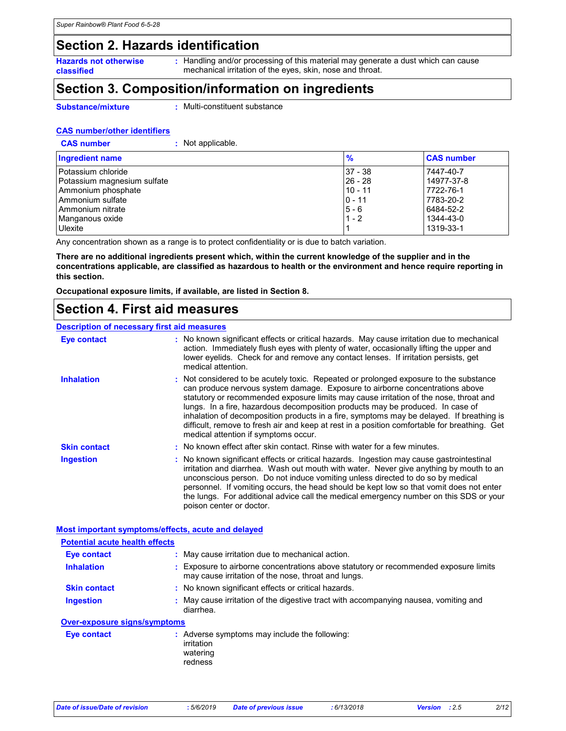### Section 2. Hazards identification

Hazards not otherwise classified

: Handling and/or processing of this material may generate a dust which can cause mechanical irritation of the eyes, skin, nose and throat.

### Section 3. Composition/information on ingredients

Substance/mixture

**CAS number** 

: Multi-constituent substance

#### CAS number/other identifiers

| Not applicable. |  |
|-----------------|--|
|                 |  |

| <b>Ingredient name</b>      | $\frac{9}{6}$ | <b>CAS number</b> |
|-----------------------------|---------------|-------------------|
| Potassium chloride          | 37 - 38       | 7447-40-7         |
| Potassium magnesium sulfate | $26 - 28$     | 14977-37-8        |
| Ammonium phosphate          | $10 - 11$     | 7722-76-1         |
| Ammonium sulfate            | $0 - 11$      | 7783-20-2         |
| Ammonium nitrate            | $5 - 6$       | 6484-52-2         |
| Manganous oxide             | $1 - 2$       | 1344-43-0         |
| Ulexite                     |               | 1319-33-1         |

Any concentration shown as a range is to protect confidentiality or is due to batch variation.

There are no additional ingredients present which, within the current knowledge of the supplier and in the concentrations applicable, are classified as hazardous to health or the environment and hence require reporting in this section.

Occupational exposure limits, if available, are listed in Section 8.

### Section 4. First aid measures

#### Description of necessary first aid measures

| <b>Eye contact</b>  | : No known significant effects or critical hazards. May cause irritation due to mechanical<br>action. Immediately flush eyes with plenty of water, occasionally lifting the upper and<br>lower eyelids. Check for and remove any contact lenses. If irritation persists, get<br>medical attention.                                                                                                                                                                                                                                                                                   |
|---------------------|--------------------------------------------------------------------------------------------------------------------------------------------------------------------------------------------------------------------------------------------------------------------------------------------------------------------------------------------------------------------------------------------------------------------------------------------------------------------------------------------------------------------------------------------------------------------------------------|
| <b>Inhalation</b>   | : Not considered to be acutely toxic. Repeated or prolonged exposure to the substance<br>can produce nervous system damage. Exposure to airborne concentrations above<br>statutory or recommended exposure limits may cause irritation of the nose, throat and<br>lungs. In a fire, hazardous decomposition products may be produced. In case of<br>inhalation of decomposition products in a fire, symptoms may be delayed. If breathing is<br>difficult, remove to fresh air and keep at rest in a position comfortable for breathing. Get<br>medical attention if symptoms occur. |
| <b>Skin contact</b> | : No known effect after skin contact. Rinse with water for a few minutes.                                                                                                                                                                                                                                                                                                                                                                                                                                                                                                            |
| <b>Ingestion</b>    | : No known significant effects or critical hazards. Ingestion may cause gastrointestinal<br>irritation and diarrhea. Wash out mouth with water. Never give anything by mouth to an<br>unconscious person. Do not induce vomiting unless directed to do so by medical<br>personnel. If vomiting occurs, the head should be kept low so that vomit does not enter<br>the lungs. For additional advice call the medical emergency number on this SDS or your<br>poison center or doctor.                                                                                                |

#### Most important symptoms/effects, acute and delayed

| <b>Potential acute health effects</b> |                                                                                                                                             |
|---------------------------------------|---------------------------------------------------------------------------------------------------------------------------------------------|
| Eye contact                           | : May cause irritation due to mechanical action.                                                                                            |
| <b>Inhalation</b>                     | : Exposure to airborne concentrations above statutory or recommended exposure limits<br>may cause irritation of the nose, throat and lungs. |
| <b>Skin contact</b>                   | : No known significant effects or critical hazards.                                                                                         |
| Ingestion                             | : May cause irritation of the digestive tract with accompanying nausea, vomiting and<br>diarrhea.                                           |
| <b>Over-exposure signs/symptoms</b>   |                                                                                                                                             |
| Eye contact                           | : Adverse symptoms may include the following:<br>irritation<br>watering<br>redness                                                          |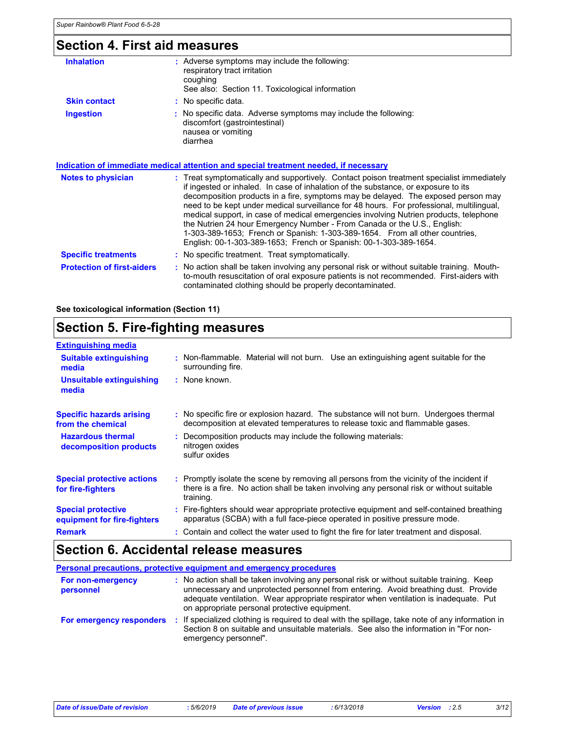## Section 4. First aid measures

| <b>Inhalation</b>                 | : Adverse symptoms may include the following:<br>respiratory tract irritation<br>coughing<br>See also: Section 11. Toxicological information                                                                                                                                                                                                                                                                                                                                                                                                                                                                                                                                               |
|-----------------------------------|--------------------------------------------------------------------------------------------------------------------------------------------------------------------------------------------------------------------------------------------------------------------------------------------------------------------------------------------------------------------------------------------------------------------------------------------------------------------------------------------------------------------------------------------------------------------------------------------------------------------------------------------------------------------------------------------|
| <b>Skin contact</b>               | : No specific data.                                                                                                                                                                                                                                                                                                                                                                                                                                                                                                                                                                                                                                                                        |
| <b>Ingestion</b>                  | : No specific data. Adverse symptoms may include the following:<br>discomfort (gastrointestinal)<br>nausea or vomiting<br>diarrhea                                                                                                                                                                                                                                                                                                                                                                                                                                                                                                                                                         |
|                                   | <b>Indication of immediate medical attention and special treatment needed, if necessary</b>                                                                                                                                                                                                                                                                                                                                                                                                                                                                                                                                                                                                |
| Notes to physician                | : Treat symptomatically and supportively. Contact poison treatment specialist immediately<br>if ingested or inhaled. In case of inhalation of the substance, or exposure to its<br>decomposition products in a fire, symptoms may be delayed. The exposed person may<br>need to be kept under medical surveillance for 48 hours. For professional, multilingual,<br>medical support, in case of medical emergencies involving Nutrien products, telephone<br>the Nutrien 24 hour Emergency Number - From Canada or the U.S., English:<br>1-303-389-1653; French or Spanish: 1-303-389-1654. From all other countries,<br>English: 00-1-303-389-1653; French or Spanish: 00-1-303-389-1654. |
| <b>Specific treatments</b>        | : No specific treatment. Treat symptomatically.                                                                                                                                                                                                                                                                                                                                                                                                                                                                                                                                                                                                                                            |
| <b>Protection of first-aiders</b> | : No action shall be taken involving any personal risk or without suitable training. Mouth-<br>to-mouth resuscitation of oral exposure patients is not recommended. First-aiders with<br>contaminated clothing should be properly decontaminated.                                                                                                                                                                                                                                                                                                                                                                                                                                          |

See toxicological information (Section 11)

### Section 5. Fire-fighting measures

| <b>Extinguishing media</b>                               |                                                                                                                                                                                                     |
|----------------------------------------------------------|-----------------------------------------------------------------------------------------------------------------------------------------------------------------------------------------------------|
| <b>Suitable extinguishing</b><br>media                   | : Non-flammable. Material will not burn. Use an extinguishing agent suitable for the<br>surrounding fire.                                                                                           |
| <b>Unsuitable extinguishing</b><br>media                 | : None known.                                                                                                                                                                                       |
| <b>Specific hazards arising</b><br>from the chemical     | : No specific fire or explosion hazard. The substance will not burn. Undergoes thermal<br>decomposition at elevated temperatures to release toxic and flammable gases.                              |
| <b>Hazardous thermal</b><br>decomposition products       | : Decomposition products may include the following materials:<br>nitrogen oxides<br>sulfur oxides                                                                                                   |
| <b>Special protective actions</b><br>for fire-fighters   | : Promptly isolate the scene by removing all persons from the vicinity of the incident if<br>there is a fire. No action shall be taken involving any personal risk or without suitable<br>training. |
| <b>Special protective</b><br>equipment for fire-fighters | : Fire-fighters should wear appropriate protective equipment and self-contained breathing<br>apparatus (SCBA) with a full face-piece operated in positive pressure mode.                            |
| <b>Remark</b>                                            | : Contain and collect the water used to fight the fire for later treatment and disposal.                                                                                                            |

### Section 6. Accidental release measures

| Personal precautions, protective equipment and emergency procedures |                       |                                                                                                                                                                                                                                                                                                                           |
|---------------------------------------------------------------------|-----------------------|---------------------------------------------------------------------------------------------------------------------------------------------------------------------------------------------------------------------------------------------------------------------------------------------------------------------------|
| For non-emergency<br>personnel                                      |                       | : No action shall be taken involving any personal risk or without suitable training. Keep<br>unnecessary and unprotected personnel from entering. Avoid breathing dust. Provide<br>adequate ventilation. Wear appropriate respirator when ventilation is inadequate. Put<br>on appropriate personal protective equipment. |
| For emergency responders                                            | emergency personnel". | If specialized clothing is required to deal with the spillage, take note of any information in<br>Section 8 on suitable and unsuitable materials. See also the information in "For non-                                                                                                                                   |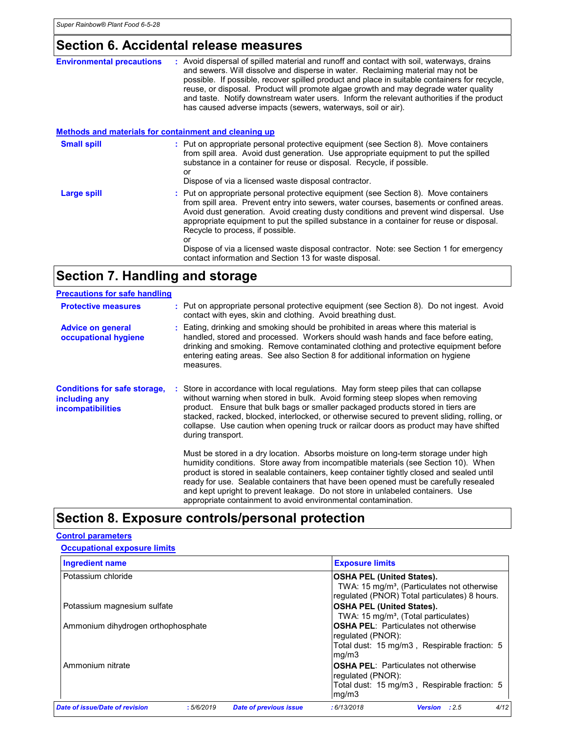### Section 6. Accidental release measures

| <b>Environmental precautions</b>                      | : Avoid dispersal of spilled material and runoff and contact with soil, waterways, drains<br>and sewers. Will dissolve and disperse in water. Reclaiming material may not be<br>possible. If possible, recover spilled product and place in suitable containers for recycle,<br>reuse, or disposal. Product will promote algae growth and may degrade water quality<br>and taste. Notify downstream water users. Inform the relevant authorities if the product<br>has caused adverse impacts (sewers, waterways, soil or air). |
|-------------------------------------------------------|---------------------------------------------------------------------------------------------------------------------------------------------------------------------------------------------------------------------------------------------------------------------------------------------------------------------------------------------------------------------------------------------------------------------------------------------------------------------------------------------------------------------------------|
| Methods and materials for containment and cleaning up |                                                                                                                                                                                                                                                                                                                                                                                                                                                                                                                                 |
| <b>Small spill</b>                                    | : Put on appropriate personal protective equipment (see Section 8). Move containers<br>from spill area. Avoid dust generation. Use appropriate equipment to put the spilled<br>substance in a container for reuse or disposal. Recycle, if possible.<br>or<br>Dispose of via a licensed waste disposal contractor.                                                                                                                                                                                                              |
| <b>Large spill</b>                                    | : Put on appropriate personal protective equipment (see Section 8). Move containers<br>from spill area. Prevent entry into sewers, water courses, basements or confined areas.<br>Avoid dust generation. Avoid creating dusty conditions and prevent wind dispersal. Use<br>appropriate equipment to put the spilled substance in a container for reuse or disposal.<br>Recycle to process, if possible.<br>or<br>Dispose of via a licensed waste disposal contractor. Note: see Section 1 for emergency                        |
|                                                       | contact information and Section 13 for waste disposal.                                                                                                                                                                                                                                                                                                                                                                                                                                                                          |

# Section 7. Handling and storage

| <b>Precautions for safe handling</b>                                             |                                                                                                                                                                                                                                                                                                                                                                                                                                                                       |                                                                                                                                                                                                                                                                                                                                                                                                                                                                                                                |
|----------------------------------------------------------------------------------|-----------------------------------------------------------------------------------------------------------------------------------------------------------------------------------------------------------------------------------------------------------------------------------------------------------------------------------------------------------------------------------------------------------------------------------------------------------------------|----------------------------------------------------------------------------------------------------------------------------------------------------------------------------------------------------------------------------------------------------------------------------------------------------------------------------------------------------------------------------------------------------------------------------------------------------------------------------------------------------------------|
| <b>Protective measures</b>                                                       |                                                                                                                                                                                                                                                                                                                                                                                                                                                                       | : Put on appropriate personal protective equipment (see Section 8). Do not ingest. Avoid<br>contact with eyes, skin and clothing. Avoid breathing dust.                                                                                                                                                                                                                                                                                                                                                        |
| <b>Advice on general</b><br>occupational hygiene                                 |                                                                                                                                                                                                                                                                                                                                                                                                                                                                       | : Eating, drinking and smoking should be prohibited in areas where this material is<br>handled, stored and processed. Workers should wash hands and face before eating,<br>drinking and smoking. Remove contaminated clothing and protective equipment before<br>entering eating areas. See also Section 8 for additional information on hygiene<br>measures.                                                                                                                                                  |
| <b>Conditions for safe storage,</b><br>including any<br><i>incompatibilities</i> | : Store in accordance with local regulations. May form steep piles that can collapse<br>without warning when stored in bulk. Avoid forming steep slopes when removing<br>product. Ensure that bulk bags or smaller packaged products stored in tiers are<br>stacked, racked, blocked, interlocked, or otherwise secured to prevent sliding, rolling, or<br>collapse. Use caution when opening truck or railcar doors as product may have shifted<br>during transport. |                                                                                                                                                                                                                                                                                                                                                                                                                                                                                                                |
|                                                                                  |                                                                                                                                                                                                                                                                                                                                                                                                                                                                       | Must be stored in a dry location. Absorbs moisture on long-term storage under high<br>humidity conditions. Store away from incompatible materials (see Section 10). When<br>product is stored in sealable containers, keep container tightly closed and sealed until<br>ready for use. Sealable containers that have been opened must be carefully resealed<br>and kept upright to prevent leakage. Do not store in unlabeled containers. Use<br>appropriate containment to avoid environmental contamination. |

# Section 8. Exposure controls/personal protection

### Control parameters

|  |  |  | <b>Occupational exposure limits</b> |  |
|--|--|--|-------------------------------------|--|
|--|--|--|-------------------------------------|--|

| Ingredient name                    |           | <b>Exposure limits</b>                      |                                                                                                          |  |  |  |
|------------------------------------|-----------|---------------------------------------------|----------------------------------------------------------------------------------------------------------|--|--|--|
| Potassium chloride                 |           | <b>OSHA PEL (United States).</b>            |                                                                                                          |  |  |  |
|                                    |           |                                             | TWA: 15 mg/m <sup>3</sup> , (Particulates not otherwise<br>regulated (PNOR) Total particulates) 8 hours. |  |  |  |
| Potassium magnesium sulfate        |           | <b>OSHA PEL (United States).</b>            |                                                                                                          |  |  |  |
|                                    |           |                                             | TWA: 15 mg/m <sup>3</sup> , (Total particulates)                                                         |  |  |  |
| Ammonium dihydrogen orthophosphate |           | <b>OSHA PEL: Particulates not otherwise</b> |                                                                                                          |  |  |  |
|                                    |           |                                             | requiated (PNOR):                                                                                        |  |  |  |
|                                    |           |                                             | Total dust: 15 mg/m3, Respirable fraction: 5<br>mq/m3                                                    |  |  |  |
| Ammonium nitrate                   |           |                                             | <b>OSHA PEL: Particulates not otherwise</b><br>requiated (PNOR):                                         |  |  |  |
|                                    |           |                                             | Total dust: 15 mg/m3, Respirable fraction: 5<br>mq/m3                                                    |  |  |  |
| Date of issue/Date of revision     | :5/6/2019 | <b>Date of previous issue</b>               | 4/12<br>:6/13/2018<br>Version : 2.5                                                                      |  |  |  |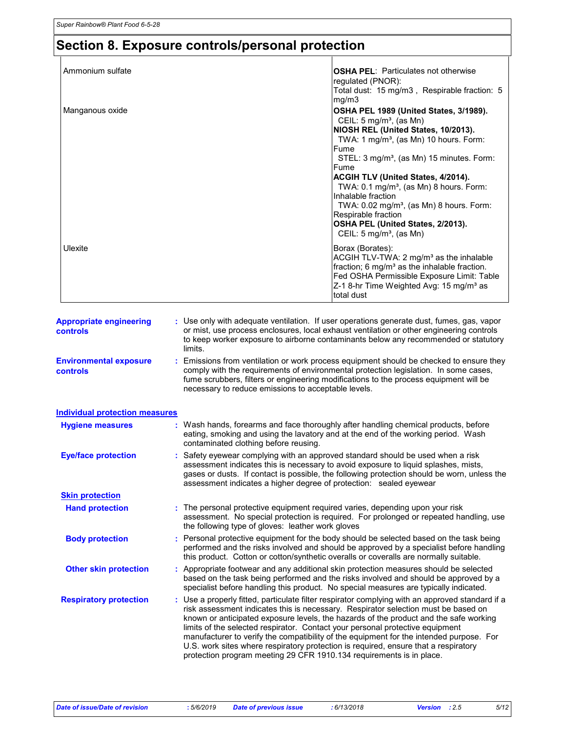# Section 8. Exposure controls/personal protection

| Ammonium sulfate                           |                                                                                                                                                       | <b>OSHA PEL:</b> Particulates not otherwise                                                                                                                                                                                                                                                                                                                                                                                                                      |
|--------------------------------------------|-------------------------------------------------------------------------------------------------------------------------------------------------------|------------------------------------------------------------------------------------------------------------------------------------------------------------------------------------------------------------------------------------------------------------------------------------------------------------------------------------------------------------------------------------------------------------------------------------------------------------------|
|                                            |                                                                                                                                                       | regulated (PNOR):<br>Total dust: 15 mg/m3, Respirable fraction: 5<br>mg/m3                                                                                                                                                                                                                                                                                                                                                                                       |
| Manganous oxide                            |                                                                                                                                                       | OSHA PEL 1989 (United States, 3/1989).<br>CEIL: $5 \text{ mg/m}^3$ , (as Mn)<br>NIOSH REL (United States, 10/2013).                                                                                                                                                                                                                                                                                                                                              |
|                                            |                                                                                                                                                       | TWA: 1 mg/m <sup>3</sup> , (as Mn) 10 hours. Form:                                                                                                                                                                                                                                                                                                                                                                                                               |
|                                            |                                                                                                                                                       | Fume<br>STEL: 3 mg/m <sup>3</sup> , (as Mn) 15 minutes. Form:                                                                                                                                                                                                                                                                                                                                                                                                    |
|                                            |                                                                                                                                                       | Fume<br>ACGIH TLV (United States, 4/2014).<br>TWA: $0.1 \text{ mg/m}^3$ , (as Mn) 8 hours. Form:<br>Inhalable fraction<br>TWA: 0.02 mg/m <sup>3</sup> , (as Mn) 8 hours. Form:                                                                                                                                                                                                                                                                                   |
|                                            |                                                                                                                                                       | Respirable fraction<br>OSHA PEL (United States, 2/2013).<br>CEIL: $5 \text{ mg/m}^3$ , (as Mn)                                                                                                                                                                                                                                                                                                                                                                   |
| Ulexite                                    |                                                                                                                                                       | Borax (Borates):<br>ACGIH TLV-TWA: 2 mg/m <sup>3</sup> as the inhalable<br>fraction; 6 mg/m <sup>3</sup> as the inhalable fraction.<br>Fed OSHA Permissible Exposure Limit: Table<br>Z-1 8-hr Time Weighted Avg: 15 mg/m <sup>3</sup> as<br>total dust                                                                                                                                                                                                           |
|                                            |                                                                                                                                                       |                                                                                                                                                                                                                                                                                                                                                                                                                                                                  |
| <b>Appropriate engineering</b><br>controls | limits.                                                                                                                                               | : Use only with adequate ventilation. If user operations generate dust, fumes, gas, vapor<br>or mist, use process enclosures, local exhaust ventilation or other engineering controls<br>to keep worker exposure to airborne contaminants below any recommended or statutory                                                                                                                                                                                     |
| <b>Environmental exposure</b><br>controls  | necessary to reduce emissions to acceptable levels.                                                                                                   | Emissions from ventilation or work process equipment should be checked to ensure they<br>comply with the requirements of environmental protection legislation. In some cases,<br>fume scrubbers, filters or engineering modifications to the process equipment will be                                                                                                                                                                                           |
| <b>Individual protection measures</b>      |                                                                                                                                                       |                                                                                                                                                                                                                                                                                                                                                                                                                                                                  |
| <b>Hygiene measures</b>                    | contaminated clothing before reusing.                                                                                                                 | Wash hands, forearms and face thoroughly after handling chemical products, before<br>eating, smoking and using the lavatory and at the end of the working period. Wash                                                                                                                                                                                                                                                                                           |
| <b>Eye/face protection</b>                 | assessment indicates a higher degree of protection: sealed eyewear                                                                                    | : Safety eyewear complying with an approved standard should be used when a risk<br>assessment indicates this is necessary to avoid exposure to liquid splashes, mists,<br>gases or dusts. If contact is possible, the following protection should be worn, unless the                                                                                                                                                                                            |
| <b>Skin protection</b>                     |                                                                                                                                                       |                                                                                                                                                                                                                                                                                                                                                                                                                                                                  |
| <b>Hand protection</b>                     | The personal protective equipment required varies, depending upon your risk<br>the following type of gloves: leather work gloves                      | assessment. No special protection is required. For prolonged or repeated handling, use                                                                                                                                                                                                                                                                                                                                                                           |
| <b>Body protection</b>                     |                                                                                                                                                       | : Personal protective equipment for the body should be selected based on the task being<br>performed and the risks involved and should be approved by a specialist before handling<br>this product. Cotton or cotton/synthetic overalls or coveralls are normally suitable.                                                                                                                                                                                      |
| <b>Other skin protection</b>               |                                                                                                                                                       | : Appropriate footwear and any additional skin protection measures should be selected<br>based on the task being performed and the risks involved and should be approved by a<br>specialist before handling this product. No special measures are typically indicated.                                                                                                                                                                                           |
| <b>Respiratory protection</b>              | limits of the selected respirator. Contact your personal protective equipment<br>protection program meeting 29 CFR 1910.134 requirements is in place. | : Use a properly fitted, particulate filter respirator complying with an approved standard if a<br>risk assessment indicates this is necessary. Respirator selection must be based on<br>known or anticipated exposure levels, the hazards of the product and the safe working<br>manufacturer to verify the compatibility of the equipment for the intended purpose. For<br>U.S. work sites where respiratory protection is required, ensure that a respiratory |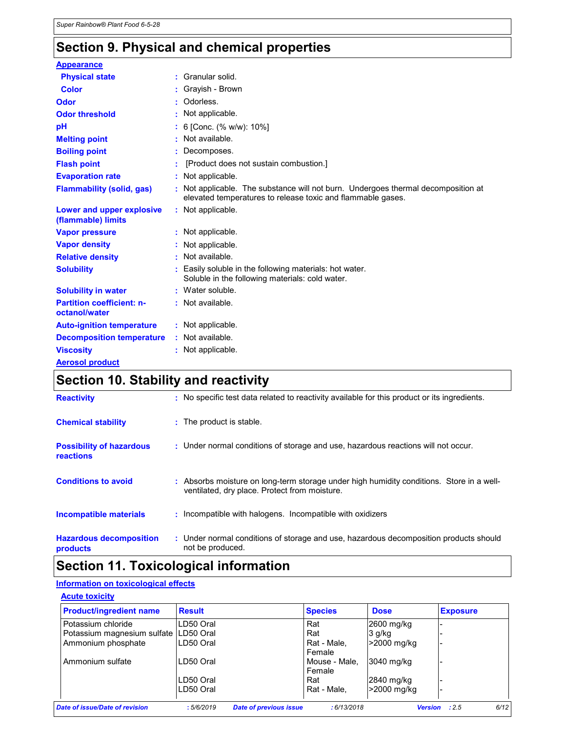## Section 9. Physical and chemical properties

| <b>Appearance</b>                                 |                                                                                                                                                  |
|---------------------------------------------------|--------------------------------------------------------------------------------------------------------------------------------------------------|
| <b>Physical state</b>                             | : Granular solid.                                                                                                                                |
| <b>Color</b>                                      | : Gravish - Brown                                                                                                                                |
| Odor                                              | : Odorless.                                                                                                                                      |
| <b>Odor threshold</b>                             | : Not applicable.                                                                                                                                |
| pH                                                | : 6 [Conc. (% w/w): 10%]                                                                                                                         |
| <b>Melting point</b>                              | : Not available.                                                                                                                                 |
| <b>Boiling point</b>                              | : Decomposes.                                                                                                                                    |
| <b>Flash point</b>                                | [Product does not sustain combustion.]                                                                                                           |
| <b>Evaporation rate</b>                           | : Not applicable.                                                                                                                                |
| <b>Flammability (solid, gas)</b>                  | : Not applicable. The substance will not burn. Undergoes thermal decomposition at<br>elevated temperatures to release toxic and flammable gases. |
| Lower and upper explosive<br>(flammable) limits   | : Not applicable.                                                                                                                                |
| <b>Vapor pressure</b>                             | : Not applicable.                                                                                                                                |
| <b>Vapor density</b>                              | : Not applicable.                                                                                                                                |
| <b>Relative density</b>                           | : Not available.                                                                                                                                 |
| <b>Solubility</b>                                 | Easily soluble in the following materials: hot water.<br>Soluble in the following materials: cold water.                                         |
| <b>Solubility in water</b>                        | : Water soluble.                                                                                                                                 |
| <b>Partition coefficient: n-</b><br>octanol/water | : Not available.                                                                                                                                 |
| <b>Auto-ignition temperature</b>                  | : Not applicable.                                                                                                                                |
| <b>Decomposition temperature</b>                  | : Not available.                                                                                                                                 |
| <b>Viscosity</b>                                  | : Not applicable.                                                                                                                                |
| <b>Aerosol product</b>                            |                                                                                                                                                  |

### Section 10. Stability and reactivity

| <b>Reactivity</b>                            | : No specific test data related to reactivity available for this product or its ingredients.                                              |
|----------------------------------------------|-------------------------------------------------------------------------------------------------------------------------------------------|
| <b>Chemical stability</b>                    | : The product is stable.                                                                                                                  |
| <b>Possibility of hazardous</b><br>reactions | : Under normal conditions of storage and use, hazardous reactions will not occur.                                                         |
| <b>Conditions to avoid</b>                   | : Absorbs moisture on long-term storage under high humidity conditions. Store in a well-<br>ventilated, dry place. Protect from moisture. |
| <b>Incompatible materials</b>                | : Incompatible with halogens. Incompatible with oxidizers                                                                                 |
| <b>Hazardous decomposition</b><br>products   | : Under normal conditions of storage and use, hazardous decomposition products should<br>not be produced.                                 |

### Section 11. Toxicological information

### Information on toxicological effects

| <b>Product/ingredient name</b>          | <b>Result</b>                              | <b>Species</b>          | <b>Dose</b> | <b>Exposure</b>        |
|-----------------------------------------|--------------------------------------------|-------------------------|-------------|------------------------|
| Potassium chloride                      | LD50 Oral                                  | Rat                     | 2600 mg/kg  |                        |
| Potassium magnesium sulfate   LD50 Oral |                                            | Rat                     | 3 g/kg      |                        |
| Ammonium phosphate                      | LD50 Oral                                  | Rat - Male,<br>Female   | >2000 mg/kg |                        |
| Ammonium sulfate                        | LD50 Oral                                  | Mouse - Male,<br>Female | 3040 mg/kg  |                        |
|                                         | LD50 Oral                                  | Rat                     | 2840 mg/kg  |                        |
|                                         | LD50 Oral                                  | Rat - Male.             | >2000 mg/kg |                        |
| <b>Date of issue/Date of revision</b>   | :5/6/2019<br><b>Date of previous issue</b> | :6/13/2018              |             | :2.5<br><b>Version</b> |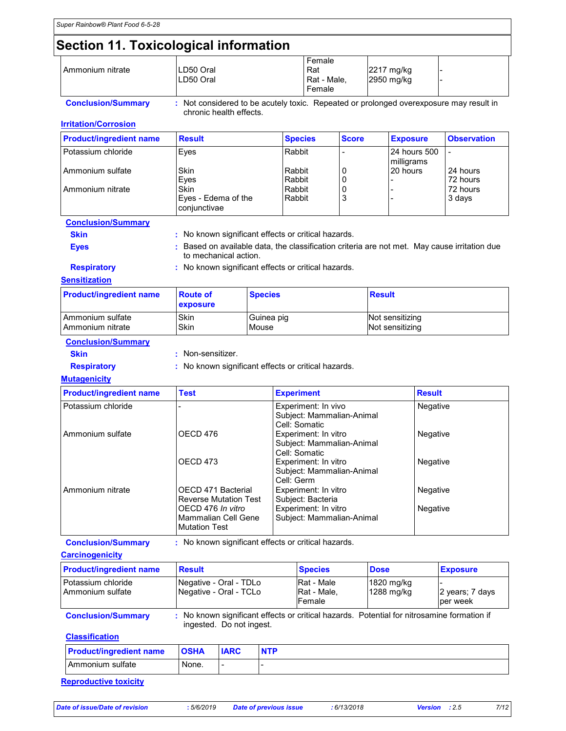## Section 11. Toxicological information

| I Ammonium nitrate | LD50 Oral<br>ILD50 Oral | Female<br>Rat<br>Rat - Male,<br>Female | 2217 mg/kg<br>2950 mg/kg |  |
|--------------------|-------------------------|----------------------------------------|--------------------------|--|

Conclusion/Summary : Not considered to be acutely toxic. Repeated or prolonged overexposure may result in chronic health effects.

**Irritation/Corrosion** 

| <b>Product/ingredient name</b> | <b>Result</b>                               | <b>Species</b>   | <b>Score</b> | <b>Exposure</b>            | <b>Observation</b>   |
|--------------------------------|---------------------------------------------|------------------|--------------|----------------------------|----------------------|
| Potassium chloride             | Eves                                        | Rabbit           |              | 24 hours 500<br>milligrams |                      |
| Ammonium sulfate               | Skin<br>Eves                                | Rabbit<br>Rabbit | 0<br>0       | 20 hours                   | 24 hours<br>72 hours |
| l Ammonium nitrate             | Skin<br>Eyes - Edema of the<br>conjunctivae | Rabbit<br>Rabbit | 0<br>3       |                            | 72 hours<br>3 days   |

#### Conclusion/Summary

Skin : No known significant effects or critical hazards.

to mechanical action.

Eyes : Based on available data, the classification criteria are not met. May cause irritation due

Respiratory : No known significant effects or critical hazards.

#### **Sensitization**

| <b>Product/ingredient name</b> | <b>Route of</b><br><b>exposure</b> | <b>Species</b> | <b>Result</b>   |
|--------------------------------|------------------------------------|----------------|-----------------|
| <b>Ammonium sulfate</b>        | Skin                               | Guinea pig     | Not sensitizing |
| I Ammonium nitrate             | Skin                               | Mouse          | Not sensitizing |

Conclusion/Summary

- 
- Skin : Non-sensitizer.

Respiratory : No known significant effects or critical hazards.

#### **Mutagenicity**

| <b>Product/ingredient name</b> | <b>Test</b>                                                      | <b>Experiment</b>                                                  | <b>Result</b> |
|--------------------------------|------------------------------------------------------------------|--------------------------------------------------------------------|---------------|
| Potassium chloride             |                                                                  | Experiment: In vivo<br>Subject: Mammalian-Animal<br>Cell: Somatic  | Negative      |
| Ammonium sulfate               | OECD 476                                                         | Experiment: In vitro<br>Subject: Mammalian-Animal<br>Cell: Somatic | Negative      |
|                                | OECD 473                                                         | Experiment: In vitro<br>Subject: Mammalian-Animal<br>Cell: Germ    | Negative      |
| Ammonium nitrate               | OECD 471 Bacterial<br><b>Reverse Mutation Test</b>               | Experiment: In vitro<br>Subject: Bacteria                          | Negative      |
|                                | OECD 476 In vitro<br>Mammalian Cell Gene<br><b>Mutation Test</b> | Experiment: In vitro<br>Subject: Mammalian-Animal                  | Negative      |

| <b>Conclusion/Summary</b> | No known significant effects or critical hazards. |
|---------------------------|---------------------------------------------------|
|---------------------------|---------------------------------------------------|

#### **Carcinogenicity**

| <b>Product/ingredient name</b>           | <b>Result</b>                                                                                                          | <b>Species</b>                             | <b>Dose</b>                | <b>Exposure</b>              |
|------------------------------------------|------------------------------------------------------------------------------------------------------------------------|--------------------------------------------|----------------------------|------------------------------|
| l Potassium chloride<br>Ammonium sulfate | Negative - Oral - TDLo<br>Negative - Oral - TCLo                                                                       | <b>Rat</b> - Male<br>Rat - Male,<br>Female | $1820$ mg/kg<br>1288 mg/kg | 2 years; 7 days<br>lper week |
| <b>Conclusion/Summary</b>                | : No known significant effects or critical hazards. Potential for nitrosamine formation if<br>ingested. Do not ingest. |                                            |                            |                              |

#### **Classification**

| <b>Product/ingredient name</b> | <b>OSHA</b> | <b>IARC</b> | <b>NTP</b> |
|--------------------------------|-------------|-------------|------------|
| l Ammonium sulfate             | None.       |             |            |

#### Reproductive toxicity

Date of issue/Date of revision : 5/6/2019 Date of previous issue : 6/13/2018 Version : 2.5 7/12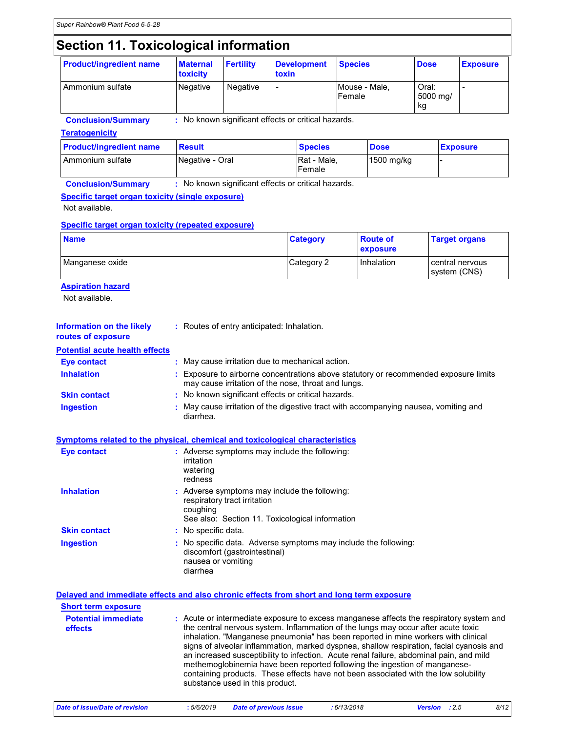# Section 11. Toxicological information

| <b>Product/ingredient name</b> | <b>Maternal</b><br>toxicity | <b>Fertility</b> | Development<br>toxin | <b>Species</b>          | <b>Dose</b>               | <b>Exposure</b> |
|--------------------------------|-----------------------------|------------------|----------------------|-------------------------|---------------------------|-----------------|
| Ammonium sulfate               | Negative                    | Negative         | -                    | Mouse - Male,<br>Female | Oral:<br>5000 mg/<br>l kg |                 |

Conclusion/Summary : No known significant effects or critical hazards.

**Teratogenicity** 

| <b>Product/ingredient name</b> | Result          | <b>Species</b>        | <b>Dose</b> | <b>Exposure</b> |
|--------------------------------|-----------------|-----------------------|-------------|-----------------|
| l Ammonium sulfate             | Negative - Oral | Rat - Male,<br>Female | 1500 mg/kg  |                 |

Conclusion/Summary : No known significant effects or critical hazards.

#### Specific target organ toxicity (single exposure)

Not available.

#### Specific target organ toxicity (repeated exposure)

| <b>Name</b>     | <b>Category</b> | <b>Route of</b><br><b>exposure</b> | <b>Target organs</b>              |
|-----------------|-----------------|------------------------------------|-----------------------------------|
| Manganese oxide | Category 2      | Inhalation                         | l central nervous<br>system (CNS) |

#### **Aspiration hazard**

Not available.

| Information on the likely<br>routes of exposure | : Routes of entry anticipated: Inhalation.                                                                                                  |
|-------------------------------------------------|---------------------------------------------------------------------------------------------------------------------------------------------|
| <b>Potential acute health effects</b>           |                                                                                                                                             |
| Eye contact                                     | : May cause irritation due to mechanical action.                                                                                            |
| <b>Inhalation</b>                               | : Exposure to airborne concentrations above statutory or recommended exposure limits<br>may cause irritation of the nose, throat and lungs. |
| <b>Skin contact</b>                             | : No known significant effects or critical hazards.                                                                                         |
| <b>Ingestion</b>                                | : May cause irritation of the digestive tract with accompanying nausea, vomiting and<br>diarrhea.                                           |

| Symptoms related to the physical, chemical and toxicological characteristics |  |  |                                             |  |
|------------------------------------------------------------------------------|--|--|---------------------------------------------|--|
| Eva contact                                                                  |  |  | Advarce symptoms may include the following: |  |

| <b>Eye contact</b>  | : Adverse symptoms may include the following:<br>irritation<br>watering<br>redness                                                           |
|---------------------|----------------------------------------------------------------------------------------------------------------------------------------------|
| <b>Inhalation</b>   | : Adverse symptoms may include the following:<br>respiratory tract irritation<br>coughing<br>See also: Section 11. Toxicological information |
| <b>Skin contact</b> | : No specific data.                                                                                                                          |
| Ingestion           | : No specific data. Adverse symptoms may include the following:<br>discomfort (gastrointestinal)<br>nausea or vomiting<br>diarrhea           |

|                                       | Delayed and immediate effects and also chronic effects from short and long term exposure                                                                                                                                                                                                                                                                                                                                                                                                                                                                                                                                                                         |
|---------------------------------------|------------------------------------------------------------------------------------------------------------------------------------------------------------------------------------------------------------------------------------------------------------------------------------------------------------------------------------------------------------------------------------------------------------------------------------------------------------------------------------------------------------------------------------------------------------------------------------------------------------------------------------------------------------------|
| <b>Short term exposure</b>            |                                                                                                                                                                                                                                                                                                                                                                                                                                                                                                                                                                                                                                                                  |
| <b>Potential immediate</b><br>effects | : Acute or intermediate exposure to excess manganese affects the respiratory system and<br>the central nervous system. Inflammation of the lungs may occur after acute toxic<br>inhalation. "Manganese pneumonia" has been reported in mine workers with clinical<br>signs of alveolar inflammation, marked dyspnea, shallow respiration, facial cyanosis and<br>an increased susceptibility to infection. Acute renal failure, abdominal pain, and mild<br>methemoglobinemia have been reported following the ingestion of manganese-<br>containing products. These effects have not been associated with the low solubility<br>substance used in this product. |
|                                       |                                                                                                                                                                                                                                                                                                                                                                                                                                                                                                                                                                                                                                                                  |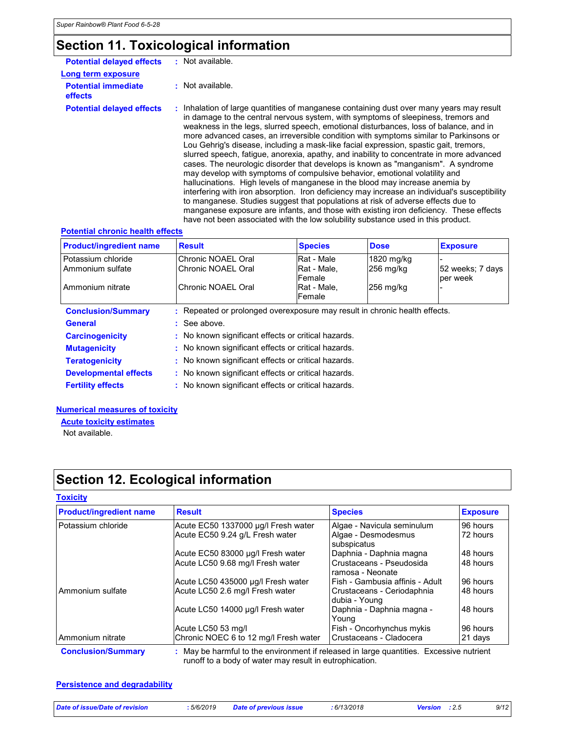## Section 11. Toxicological information

| <b>Potential delayed effects</b>             | : Not available.                                                                                                                                                                                                                                                                                                                                                                                                                                                                                                                                                                                                                                                                                                                                                                                                                                                                                                                                                                                                                                                                                                                                                          |  |
|----------------------------------------------|---------------------------------------------------------------------------------------------------------------------------------------------------------------------------------------------------------------------------------------------------------------------------------------------------------------------------------------------------------------------------------------------------------------------------------------------------------------------------------------------------------------------------------------------------------------------------------------------------------------------------------------------------------------------------------------------------------------------------------------------------------------------------------------------------------------------------------------------------------------------------------------------------------------------------------------------------------------------------------------------------------------------------------------------------------------------------------------------------------------------------------------------------------------------------|--|
| Long term exposure                           |                                                                                                                                                                                                                                                                                                                                                                                                                                                                                                                                                                                                                                                                                                                                                                                                                                                                                                                                                                                                                                                                                                                                                                           |  |
| <b>Potential immediate</b><br><b>effects</b> | : Not available.                                                                                                                                                                                                                                                                                                                                                                                                                                                                                                                                                                                                                                                                                                                                                                                                                                                                                                                                                                                                                                                                                                                                                          |  |
| <b>Potential delayed effects</b>             | : Inhalation of large quantities of manganese containing dust over many years may result<br>in damage to the central nervous system, with symptoms of sleepiness, tremors and<br>weakness in the legs, slurred speech, emotional disturbances, loss of balance, and in<br>more advanced cases, an irreversible condition with symptoms similar to Parkinsons or<br>Lou Gehrig's disease, including a mask-like facial expression, spastic gait, tremors,<br>slurred speech, fatique, anorexia, apathy, and inability to concentrate in more advanced<br>cases. The neurologic disorder that develops is known as "manganism". A syndrome<br>may develop with symptoms of compulsive behavior, emotional volatility and<br>hallucinations. High levels of manganese in the blood may increase anemia by<br>interfering with iron absorption. Iron deficiency may increase an individual's susceptibility<br>to manganese. Studies suggest that populations at risk of adverse effects due to<br>manganese exposure are infants, and those with existing iron deficiency. These effects<br>have not been associated with the low solubility substance used in this product. |  |

#### Potential chronic health effects

| <b>Product/ingredient name</b>         | <b>Result</b>                                                            | <b>Species</b>                       | <b>Dose</b>               | <b>Exposure</b>              |
|----------------------------------------|--------------------------------------------------------------------------|--------------------------------------|---------------------------|------------------------------|
| Potassium chloride<br>Ammonium sulfate | Chronic NOAEL Oral<br>Chronic NOAEL Oral                                 | Rat - Male<br>IRat - Male.<br>Female | 1820 mg/kg<br>$256$ mg/kg | 52 weeks: 7 days<br>per week |
| Ammonium nitrate                       | Chronic NOAEL Oral                                                       | IRat - Male.<br>Female               | $256$ mg/kg               |                              |
| <b>Conclusion/Summary</b>              | Repeated or prolonged overexposure may result in chronic health effects. |                                      |                           |                              |
| <b>General</b>                         | $\therefore$ See above.                                                  |                                      |                           |                              |
| <b>Carcinogenicity</b>                 | : No known significant effects or critical hazards.                      |                                      |                           |                              |
| <b>Mutagenicity</b>                    | : No known significant effects or critical hazards.                      |                                      |                           |                              |
| <b>Teratogenicity</b>                  | : No known significant effects or critical hazards.                      |                                      |                           |                              |
| <b>Developmental effects</b>           | : No known significant effects or critical hazards.                      |                                      |                           |                              |
| <b>Fertility effects</b>               | : No known significant effects or critical hazards.                      |                                      |                           |                              |

#### Numerical measures of toxicity

Acute toxicity estimates

Not available.

# Section 12. Ecological information

#### **Toxicity**

| <b>Product/ingredient name</b> | <b>Result</b>                         | <b>Species</b>                               | <b>Exposure</b> |  |
|--------------------------------|---------------------------------------|----------------------------------------------|-----------------|--|
| Potassium chloride             | Acute EC50 1337000 µg/l Fresh water   | Algae - Navicula seminulum                   | 96 hours        |  |
|                                | Acute EC50 9.24 g/L Fresh water       | Algae - Desmodesmus<br>subspicatus           | 72 hours        |  |
|                                | Acute EC50 83000 µg/l Fresh water     | Daphnia - Daphnia magna                      | 48 hours        |  |
|                                | Acute LC50 9.68 mg/l Fresh water      | Crustaceans - Pseudosida<br>ramosa - Neonate | 48 hours        |  |
|                                | Acute LC50 435000 µg/l Fresh water    | Fish - Gambusia affinis - Adult              | 96 hours        |  |
| Ammonium sulfate               | Acute LC50 2.6 mg/l Fresh water       | Crustaceans - Ceriodaphnia<br>dubia - Young  | 48 hours        |  |
|                                | Acute LC50 14000 µg/l Fresh water     | Daphnia - Daphnia magna -<br>Young           | 48 hours        |  |
|                                | Acute LC50 53 mg/l                    | Fish - Oncorhynchus mykis                    | 96 hours        |  |
| Ammonium nitrate               | Chronic NOEC 6 to 12 mg/l Fresh water | l Crustaceans - Cladocera                    | 21 days         |  |

runoff to a body of water may result in eutrophication.

#### **Persistence and degradability**

| Date of issue/Date of revision | 5/6/2019 | <b>Date of previous issue</b> | : 6/13/2018 | Version : 2.5 | 9/12 |
|--------------------------------|----------|-------------------------------|-------------|---------------|------|
|                                |          |                               |             |               |      |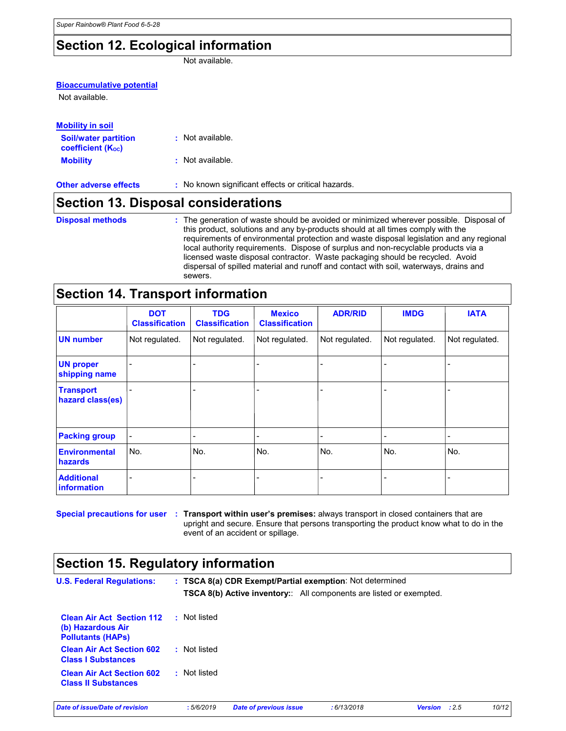### Section 12. Ecological information

Not available.

| <b>Bioaccumulative potential</b>                        |                                                                                                                                                                                                                                                                                                                                                              |
|---------------------------------------------------------|--------------------------------------------------------------------------------------------------------------------------------------------------------------------------------------------------------------------------------------------------------------------------------------------------------------------------------------------------------------|
| Not available.                                          |                                                                                                                                                                                                                                                                                                                                                              |
| <b>Mobility in soil</b>                                 |                                                                                                                                                                                                                                                                                                                                                              |
| <b>Soil/water partition</b><br><b>coefficient (Koc)</b> | : Not available.                                                                                                                                                                                                                                                                                                                                             |
| <b>Mobility</b>                                         | : Not available.                                                                                                                                                                                                                                                                                                                                             |
| <b>Other adverse effects</b>                            | : No known significant effects or critical hazards.                                                                                                                                                                                                                                                                                                          |
|                                                         | <b>Section 13. Disposal considerations</b>                                                                                                                                                                                                                                                                                                                   |
| <b>Disposal methods</b>                                 | : The generation of waste should be avoided or minimized wherever possible. Disposal of<br>this product, solutions and any by-products should at all times comply with the<br>requirements of environmental protection and waste disposal legislation and any regional<br>local authority requirements. Dispose of surplus and non-recyclable products via a |

### Section 14. Transport information

sewers.

|                                         | <b>DOT</b><br><b>Classification</b> | <b>TDG</b><br><b>Classification</b> | <b>Mexico</b><br><b>Classification</b> | <b>ADR/RID</b> | <b>IMDG</b>    | <b>IATA</b>    |
|-----------------------------------------|-------------------------------------|-------------------------------------|----------------------------------------|----------------|----------------|----------------|
| <b>UN number</b>                        | Not regulated.                      | Not regulated.                      | Not regulated.                         | Not regulated. | Not regulated. | Not regulated. |
| <b>UN proper</b><br>shipping name       | -                                   |                                     |                                        |                |                |                |
| <b>Transport</b><br>hazard class(es)    |                                     |                                     |                                        |                |                |                |
| <b>Packing group</b>                    | $\blacksquare$                      |                                     | ۰                                      |                |                |                |
| <b>Environmental</b><br>hazards         | No.                                 | No.                                 | No.                                    | No.            | No.            | No.            |
| <b>Additional</b><br><i>information</i> | $\qquad \qquad \blacksquare$        |                                     |                                        |                |                |                |

Special precautions for user : Transport within user's premises: always transport in closed containers that are upright and secure. Ensure that persons transporting the product know what to do in the event of an accident or spillage.

licensed waste disposal contractor. Waste packaging should be recycled. Avoid dispersal of spilled material and runoff and contact with soil, waterways, drains and

### Section 15. Regulatory information

| <b>U.S. Federal Regulations:</b>                                                  |              |                               | : TSCA 8(a) CDR Exempt/Partial exemption: Not determined<br><b>TSCA 8(b) Active inventory::</b> All components are listed or exempted. |               |       |
|-----------------------------------------------------------------------------------|--------------|-------------------------------|----------------------------------------------------------------------------------------------------------------------------------------|---------------|-------|
| <b>Clean Air Act Section 112</b><br>(b) Hazardous Air<br><b>Pollutants (HAPs)</b> | : Not listed |                               |                                                                                                                                        |               |       |
| <b>Clean Air Act Section 602</b><br><b>Class I Substances</b>                     | : Not listed |                               |                                                                                                                                        |               |       |
| <b>Clean Air Act Section 602</b><br><b>Class II Substances</b>                    | : Not listed |                               |                                                                                                                                        |               |       |
| Date of issue/Date of revision                                                    | :5/6/2019    | <b>Date of previous issue</b> | :6/13/2018                                                                                                                             | Version : 2.5 | 10/12 |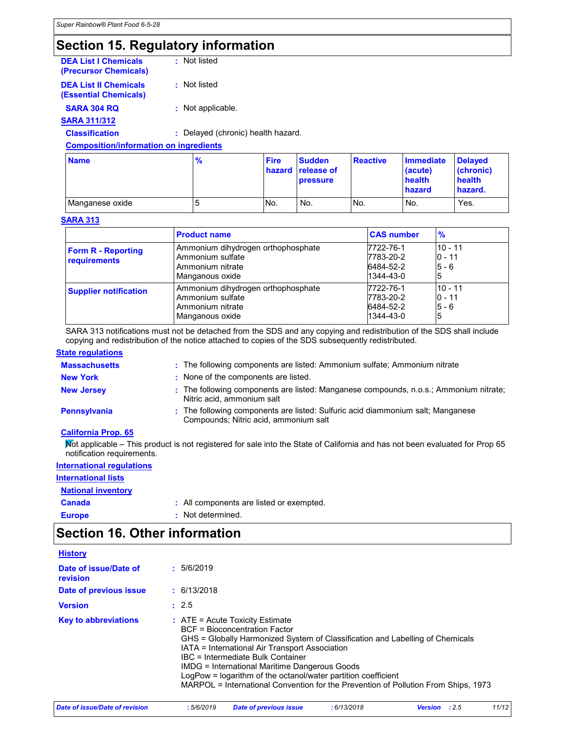### Section 15. Regulatory information

| <b>Nomo</b>                                                  | $\mathbf{0}$                       | Eiro |  |
|--------------------------------------------------------------|------------------------------------|------|--|
| <b>Composition/information on ingredients</b>                |                                    |      |  |
| <b>Classification</b>                                        | : Delayed (chronic) health hazard. |      |  |
| <b>SARA 311/312</b>                                          |                                    |      |  |
| <b>SARA 304 RQ</b>                                           | : Not applicable.                  |      |  |
| <b>DEA List II Chemicals</b><br><b>(Essential Chemicals)</b> | : Not listed                       |      |  |
| <b>DEA List I Chemicals</b><br>(Precursor Chemicals)         | : Not listed                       |      |  |

| <b>Name</b>     | $\frac{9}{6}$ | <b>Fire</b> | <b>Sudden</b><br>hazard release of<br><b>pressure</b> | <b>Reactive</b> | <b>Immediate</b><br>(acute)<br>health<br>hazard | <b>Delaved</b><br>(chronic)<br>health<br>hazard. |
|-----------------|---------------|-------------|-------------------------------------------------------|-----------------|-------------------------------------------------|--------------------------------------------------|
| Manganese oxide | э             | No.         | No.                                                   | No.             | No.                                             | Yes.                                             |

#### SARA 313

|                                                  | <b>Product name</b>                                                                           | <b>CAS number</b>                                | $\frac{9}{6}$                         |
|--------------------------------------------------|-----------------------------------------------------------------------------------------------|--------------------------------------------------|---------------------------------------|
| <b>Form R - Reporting</b><br><b>requirements</b> | Ammonium dihydrogen orthophosphate<br>Ammonium sulfate<br>Ammonium nitrate<br>Manganous oxide | 7722-76-1<br>7783-20-2<br>6484-52-2<br>1344-43-0 | $10 - 11$<br>$0 - 11$<br>$5 - 6$<br>5 |
| <b>Supplier notification</b>                     | Ammonium dihydrogen orthophosphate<br>Ammonium sulfate<br>Ammonium nitrate<br>Manganous oxide | 7722-76-1<br>7783-20-2<br>6484-52-2<br>1344-43-0 | $10 - 11$<br>$0 - 11$<br>$5 - 6$<br>5 |

SARA 313 notifications must not be detached from the SDS and any copying and redistribution of the SDS shall include copying and redistribution of the notice attached to copies of the SDS subsequently redistributed.

#### **State regulations**

| <b>Massachusetts</b> | : The following components are listed: Ammonium sulfate; Ammonium nitrate                                                |
|----------------------|--------------------------------------------------------------------------------------------------------------------------|
| <b>New York</b>      | : None of the components are listed.                                                                                     |
| <b>New Jersey</b>    | : The following components are listed: Manganese compounds, n.o.s.; Ammonium nitrate;<br>Nitric acid, ammonium salt      |
| <b>Pennsylvania</b>  | : The following components are listed: Sulfuric acid diammonium salt; Manganese<br>Compounds; Nitric acid, ammonium salt |

#### California Prop. 65

Not applicable – This product is not registered for sale into the State of California and has not been evaluated for Prop 65 notification requirements.

### International regulations International lists **National inventory**

| Canada        | : All components are listed or exempted. |
|---------------|------------------------------------------|
| <b>Europe</b> | : Not determined.                        |

### Section 16. Other information

| <b>History</b>                    |                                                                                                                                                                                                                                                                                                                                                                                                                                                           |
|-----------------------------------|-----------------------------------------------------------------------------------------------------------------------------------------------------------------------------------------------------------------------------------------------------------------------------------------------------------------------------------------------------------------------------------------------------------------------------------------------------------|
| Date of issue/Date of<br>revision | : 5/6/2019                                                                                                                                                                                                                                                                                                                                                                                                                                                |
| Date of previous issue            | : 6/13/2018                                                                                                                                                                                                                                                                                                                                                                                                                                               |
| <b>Version</b>                    | : 2.5                                                                                                                                                                                                                                                                                                                                                                                                                                                     |
| <b>Key to abbreviations</b>       | $:$ ATE = Acute Toxicity Estimate<br><b>BCF</b> = Bioconcentration Factor<br>GHS = Globally Harmonized System of Classification and Labelling of Chemicals<br>IATA = International Air Transport Association<br>IBC = Intermediate Bulk Container<br>IMDG = International Maritime Dangerous Goods<br>LogPow = logarithm of the octanol/water partition coefficient<br>MARPOL = International Convention for the Prevention of Pollution From Ships, 1973 |